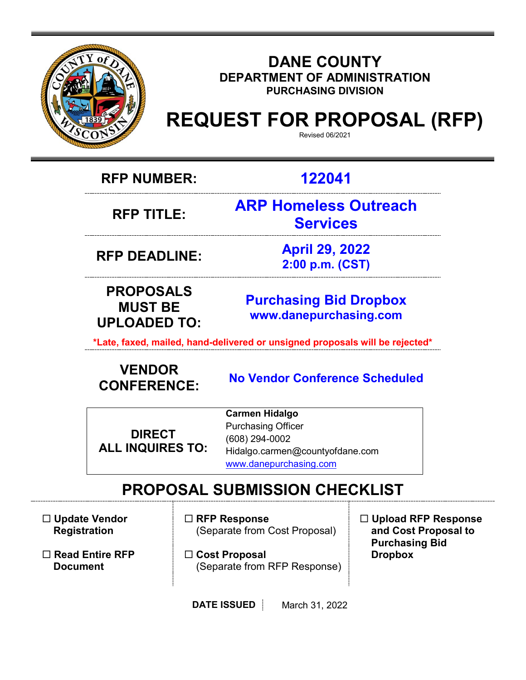

#### **DANE COUNTY DEPARTMENT OF ADMINISTRATION PURCHASING DIVISION**

## **REQUEST FOR PROPOSAL (RFP)**

Revised 06/2021

**RFP NUMBER: 122041**

**RFP TITLE:** 

**ARP Homeless Outreach Services**

**RFP DEADLINE: April 29, 2022 2:00 p.m. (CST)**

**PROPOSALS MUST BE UPLOADED TO:**

**[Purchasing](mailto:BIDS@COUNTYOFDANE.COM) Bid Dropbox [www.danepurchasing.com](file://daneco.us/dfs/Department/purchasing/Shared/Forms%20&%20Templates/www.danepurchasing.com)**

**\*Late, faxed, mailed, hand-delivered or unsigned proposals will be rejected\***

# **VENDOR**

**CONFERENCE: No Vendor Conference Scheduled**

**DIRECT ALL INQUIRES TO:**

**Carmen Hidalgo** Purchasing Officer (608) 294-0002 Hidalgo.carmen@countyofdane.com [www.danepurchasing.com](http://www.danepurchasing.com/)

## **PROPOSAL SUBMISSION CHECKLIST**

 **Update Vendor Registration**

 **Read Entire RFP Document**

 **RFP Response** (Separate from Cost Proposal)

 **Cost Proposal**  (Separate from RFP Response)  **Upload RFP Response and Cost Proposal to Purchasing Bid Dropbox**

**DATE ISSUED** March 31, 2022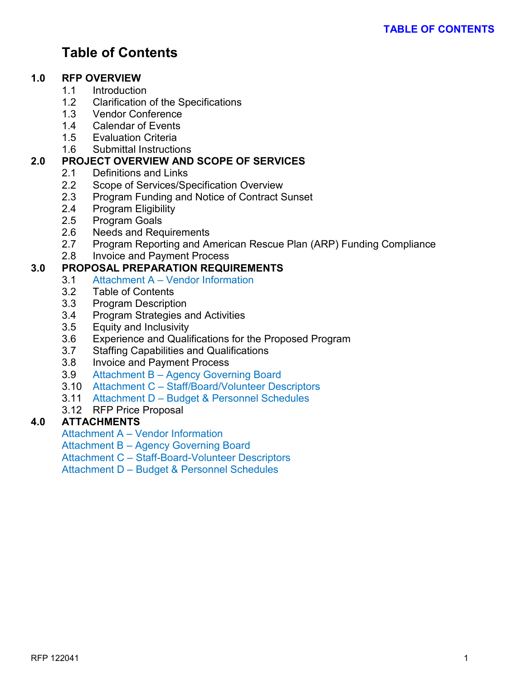### **Table of Contents**

#### **1.0 RFP OVERVIEW**

- 1.1 Introduction
- 1.2 Clarification of the Specifications
- 1.3 Vendor Conference
- 1.4 Calendar of Events
- 1.5 Evaluation Criteria
- 1.6 Submittal Instructions

#### **2.0 PROJECT OVERVIEW AND SCOPE OF SERVICES**

- 2.1 Definitions and Links
- 2.2 Scope of Services/Specification Overview
- 2.3 Program Funding and Notice of Contract Sunset<br>2.4 Program Eligibility
- Program Eligibility
- 2.5 Program Goals
- 2.6 Needs and Requirements
- 2.7 Program Reporting and American Rescue Plan (ARP) Funding Compliance
- 2.8 Invoice and Payment Process

#### **3.0 PROPOSAL PREPARATION REQUIREMENTS**

- 3.1 Attachment A Vendor Information
- 3.2 Table of Contents
- 3.3 Program Description
- 3.4 Program Strategies and Activities
- 3.5 Equity and Inclusivity
- 3.6 Experience and Qualifications for the Proposed Program
- 3.7 Staffing Capabilities and Qualifications
- 3.8 Invoice and Payment Process
- 3.9 Attachment B Agency Governing Board
- 3.10 Attachment C Staff/Board/Volunteer Descriptors
- 3.11 Attachment D Budget & Personnel Schedules
- 3.12 RFP Price Proposal

#### **4.0 ATTACHMENTS**

Attachment A – Vendor Information

Attachment B – Agency Governing Board

Attachment C – Staff-Board-Volunteer Descriptors

Attachment D – Budget & Personnel Schedules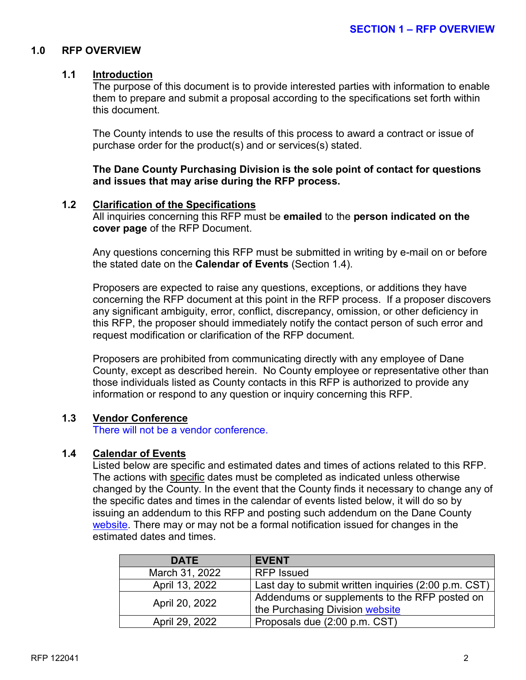#### **1.0 RFP OVERVIEW**

#### **1.1 Introduction**

The purpose of this document is to provide interested parties with information to enable them to prepare and submit a proposal according to the specifications set forth within this document.

The County intends to use the results of this process to award a contract or issue of purchase order for the product(s) and or services(s) stated.

**The Dane County Purchasing Division is the sole point of contact for questions and issues that may arise during the RFP process.**

#### **1.2 Clarification of the Specifications**

All inquiries concerning this RFP must be **emailed** to the **person indicated on the cover page** of the RFP Document.

Any questions concerning this RFP must be submitted in writing by e-mail on or before the stated date on the **Calendar of Events** (Section 1.4).

Proposers are expected to raise any questions, exceptions, or additions they have concerning the RFP document at this point in the RFP process. If a proposer discovers any significant ambiguity, error, conflict, discrepancy, omission, or other deficiency in this RFP, the proposer should immediately notify the contact person of such error and request modification or clarification of the RFP document.

Proposers are prohibited from communicating directly with any employee of Dane County, except as described herein. No County employee or representative other than those individuals listed as County contacts in this RFP is authorized to provide any information or respond to any question or inquiry concerning this RFP.

#### **1.3 Vendor Conference**

There will not be a vendor conference.

#### **1.4 Calendar of Events**

Listed below are specific and estimated dates and times of actions related to this RFP. The actions with specific dates must be completed as indicated unless otherwise changed by the County. In the event that the County finds it necessary to change any of the specific dates and times in the calendar of events listed below, it will do so by issuing an addendum to this RFP and posting such addendum on the Dane County [website.](http://www.danepurchasing.com/) There may or may not be a formal notification issued for changes in the estimated dates and times.

| <b>DATE</b>    | <b>EVENT</b>                                         |
|----------------|------------------------------------------------------|
| March 31, 2022 | <b>RFP</b> Issued                                    |
| April 13, 2022 | Last day to submit written inquiries (2:00 p.m. CST) |
| April 20, 2022 | Addendums or supplements to the RFP posted on        |
|                | the Purchasing Division website                      |
| April 29, 2022 | Proposals due (2:00 p.m. CST)                        |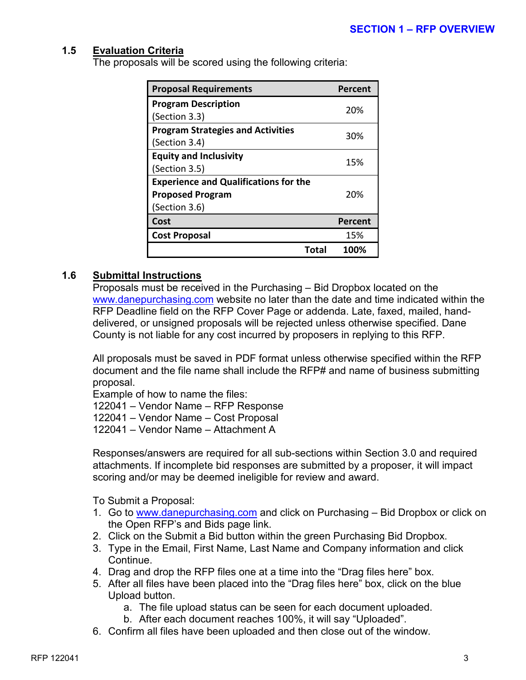#### **1.5 Evaluation Criteria**

The proposals will be scored using the following criteria:

| <b>Proposal Requirements</b>                 | Percent |  |
|----------------------------------------------|---------|--|
| <b>Program Description</b>                   | 20%     |  |
| (Section 3.3)                                |         |  |
| <b>Program Strategies and Activities</b>     |         |  |
| (Section 3.4)                                | 30%     |  |
| <b>Equity and Inclusivity</b>                | 15%     |  |
| (Section 3.5)                                |         |  |
| <b>Experience and Qualifications for the</b> |         |  |
| <b>Proposed Program</b>                      | 20%     |  |
| (Section 3.6)                                |         |  |
| Cost                                         | Percent |  |
| <b>Cost Proposal</b>                         | 15%     |  |
| Total                                        | 100%    |  |

#### **1.6 Submittal Instructions**

Proposals must be received in the Purchasing – Bid Dropbox located on the [www.danepurchasing.com](http://www.danepurchasing.com/) website no later than the date and time indicated within the RFP Deadline field on the RFP Cover Page or addenda. Late, faxed, mailed, handdelivered, or unsigned proposals will be rejected unless otherwise specified. Dane County is not liable for any cost incurred by proposers in replying to this RFP.

All proposals must be saved in PDF format unless otherwise specified within the RFP document and the file name shall include the RFP# and name of business submitting proposal.

Example of how to name the files:

122041 – Vendor Name – RFP Response

122041 – Vendor Name – Cost Proposal

122041 – Vendor Name – Attachment A

Responses/answers are required for all sub-sections within Section 3.0 and required attachments. If incomplete bid responses are submitted by a proposer, it will impact scoring and/or may be deemed ineligible for review and award.

To Submit a Proposal:

- 1. Go to [www.danepurchasing.com](http://www.danepurchasing.com/) and click on Purchasing Bid Dropbox or click on the Open RFP's and Bids page link.
- 2. Click on the Submit a Bid button within the green Purchasing Bid Dropbox.
- 3. Type in the Email, First Name, Last Name and Company information and click Continue.
- 4. Drag and drop the RFP files one at a time into the "Drag files here" box.
- 5. After all files have been placed into the "Drag files here" box, click on the blue Upload button.
	- a. The file upload status can be seen for each document uploaded.
	- b. After each document reaches 100%, it will say "Uploaded".
- 6. Confirm all files have been uploaded and then close out of the window.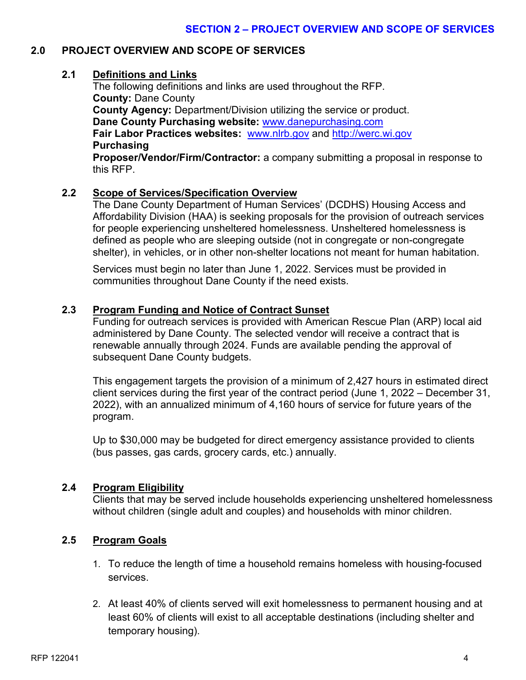#### **2.0 PROJECT OVERVIEW AND SCOPE OF SERVICES**

#### **2.1 Definitions and Links**

The following definitions and links are used throughout the RFP. **County:** Dane County **County Agency:** Department/Division utilizing the service or product. **Dane County Purchasing website:** [www.danepurchasing.com](http://www.danepurchasing.com/) **Fair Labor Practices websites:** [www.nlrb.gov](http://www.nlrb.gov/) and [http://werc.wi.gov](http://werc.wi.gov/) **Purchasing**

**Proposer/Vendor/Firm/Contractor:** a company submitting a proposal in response to this RFP.

#### **2.2 Scope of Services/Specification Overview**

The Dane County Department of Human Services' (DCDHS) Housing Access and Affordability Division (HAA) is seeking proposals for the provision of outreach services for people experiencing unsheltered homelessness. Unsheltered homelessness is defined as people who are sleeping outside (not in congregate or non-congregate shelter), in vehicles, or in other non-shelter locations not meant for human habitation.

Services must begin no later than June 1, 2022. Services must be provided in communities throughout Dane County if the need exists.

#### **2.3 Program Funding and Notice of Contract Sunset**

Funding for outreach services is provided with American Rescue Plan (ARP) local aid administered by Dane County. The selected vendor will receive a contract that is renewable annually through 2024. Funds are available pending the approval of subsequent Dane County budgets.

This engagement targets the provision of a minimum of 2,427 hours in estimated direct client services during the first year of the contract period (June 1, 2022 – December 31, 2022), with an annualized minimum of 4,160 hours of service for future years of the program.

Up to \$30,000 may be budgeted for direct emergency assistance provided to clients (bus passes, gas cards, grocery cards, etc.) annually.

#### **2.4 Program Eligibility**

Clients that may be served include households experiencing unsheltered homelessness without children (single adult and couples) and households with minor children.

#### **2.5 Program Goals**

- 1. To reduce the length of time a household remains homeless with housing-focused services.
- 2. At least 40% of clients served will exit homelessness to permanent housing and at least 60% of clients will exist to all acceptable destinations (including shelter and temporary housing).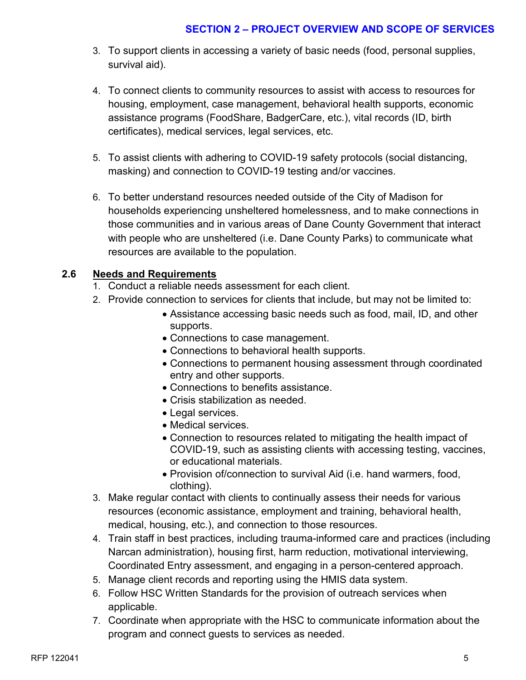#### **SECTION 2 – PROJECT OVERVIEW AND SCOPE OF SERVICES**

- 3. To support clients in accessing a variety of basic needs (food, personal supplies, survival aid).
- 4. To connect clients to community resources to assist with access to resources for housing, employment, case management, behavioral health supports, economic assistance programs (FoodShare, BadgerCare, etc.), vital records (ID, birth certificates), medical services, legal services, etc.
- 5. To assist clients with adhering to COVID-19 safety protocols (social distancing, masking) and connection to COVID-19 testing and/or vaccines.
- 6. To better understand resources needed outside of the City of Madison for households experiencing unsheltered homelessness, and to make connections in those communities and in various areas of Dane County Government that interact with people who are unsheltered (i.e. Dane County Parks) to communicate what resources are available to the population.

#### **2.6 Needs and Requirements**

- 1. Conduct a reliable needs assessment for each client.
- 2. Provide connection to services for clients that include, but may not be limited to:
	- Assistance accessing basic needs such as food, mail, ID, and other supports.
	- Connections to case management.
	- Connections to behavioral health supports.
	- Connections to permanent housing assessment through coordinated entry and other supports.
	- Connections to benefits assistance.
	- Crisis stabilization as needed.
	- Legal services.
	- Medical services.
	- Connection to resources related to mitigating the health impact of COVID-19, such as assisting clients with accessing testing, vaccines, or educational materials.
	- Provision of/connection to survival Aid (i.e. hand warmers, food, clothing).
- 3. Make regular contact with clients to continually assess their needs for various resources (economic assistance, employment and training, behavioral health, medical, housing, etc.), and connection to those resources.
- 4. Train staff in best practices, including trauma-informed care and practices (including Narcan administration), housing first, harm reduction, motivational interviewing, Coordinated Entry assessment, and engaging in a person-centered approach.
- 5. Manage client records and reporting using the HMIS data system.
- 6. Follow HSC Written Standards for the provision of outreach services when applicable.
- 7. Coordinate when appropriate with the HSC to communicate information about the program and connect guests to services as needed.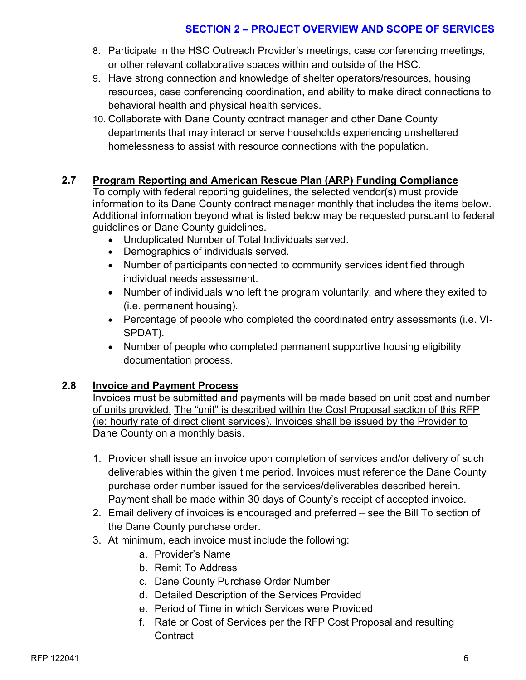#### **SECTION 2 – PROJECT OVERVIEW AND SCOPE OF SERVICES**

- 8. Participate in the HSC Outreach Provider's meetings, case conferencing meetings, or other relevant collaborative spaces within and outside of the HSC.
- 9. Have strong connection and knowledge of shelter operators/resources, housing resources, case conferencing coordination, and ability to make direct connections to behavioral health and physical health services.
- 10. Collaborate with Dane County contract manager and other Dane County departments that may interact or serve households experiencing unsheltered homelessness to assist with resource connections with the population.

#### **2.7 Program Reporting and American Rescue Plan (ARP) Funding Compliance**

To comply with federal reporting guidelines, the selected vendor(s) must provide information to its Dane County contract manager monthly that includes the items below. Additional information beyond what is listed below may be requested pursuant to federal guidelines or Dane County guidelines.

- Unduplicated Number of Total Individuals served.
- Demographics of individuals served.
- Number of participants connected to community services identified through individual needs assessment.
- Number of individuals who left the program voluntarily, and where they exited to (i.e. permanent housing).
- Percentage of people who completed the coordinated entry assessments (i.e. VI-SPDAT).
- Number of people who completed permanent supportive housing eligibility documentation process.

#### **2.8 Invoice and Payment Process**

Invoices must be submitted and payments will be made based on unit cost and number of units provided. The "unit" is described within the Cost Proposal section of this RFP (ie: hourly rate of direct client services). Invoices shall be issued by the Provider to Dane County on a monthly basis.

- 1. Provider shall issue an invoice upon completion of services and/or delivery of such deliverables within the given time period. Invoices must reference the Dane County purchase order number issued for the services/deliverables described herein. Payment shall be made within 30 days of County's receipt of accepted invoice.
- 2. Email delivery of invoices is encouraged and preferred see the Bill To section of the Dane County purchase order.
- 3. At minimum, each invoice must include the following:
	- a. Provider's Name
	- b. Remit To Address
	- c. Dane County Purchase Order Number
	- d. Detailed Description of the Services Provided
	- e. Period of Time in which Services were Provided
	- f. Rate or Cost of Services per the RFP Cost Proposal and resulting **Contract**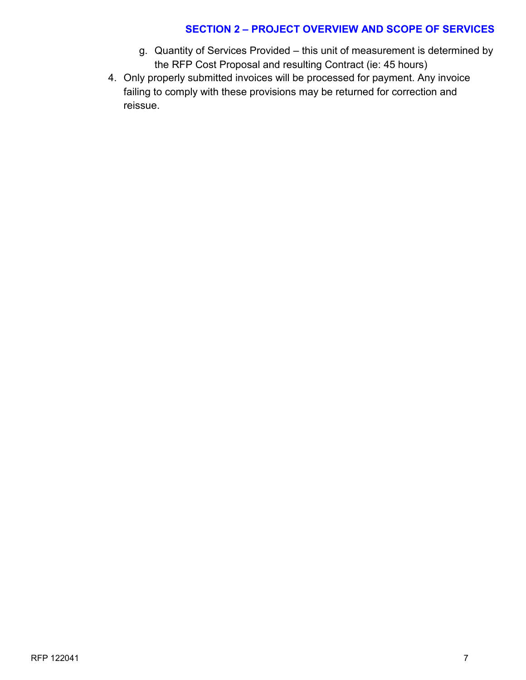#### **SECTION 2 – PROJECT OVERVIEW AND SCOPE OF SERVICES**

- g. Quantity of Services Provided this unit of measurement is determined by the RFP Cost Proposal and resulting Contract (ie: 45 hours)
- 4. Only properly submitted invoices will be processed for payment. Any invoice failing to comply with these provisions may be returned for correction and reissue.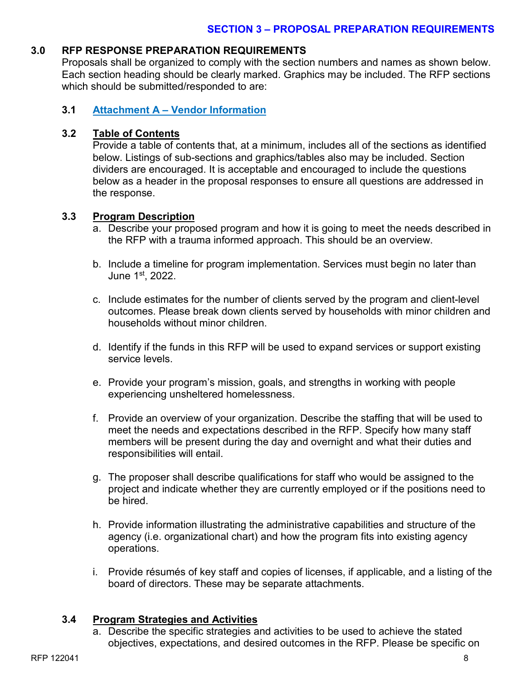#### **3.0 RFP RESPONSE PREPARATION REQUIREMENTS**

Proposals shall be organized to comply with the section numbers and names as shown below. Each section heading should be clearly marked. Graphics may be included. The RFP sections which should be submitted/responded to are:

#### **3.1 Attachment A – Vendor Information**

#### **3.2 Table of Contents**

Provide a table of contents that, at a minimum, includes all of the sections as identified below. Listings of sub-sections and graphics/tables also may be included. Section dividers are encouraged. It is acceptable and encouraged to include the questions below as a header in the proposal responses to ensure all questions are addressed in the response.

#### **3.3 Program Description**

- a. Describe your proposed program and how it is going to meet the needs described in the RFP with a trauma informed approach. This should be an overview.
- b. Include a timeline for program implementation. Services must begin no later than June 1st, 2022.
- c. Include estimates for the number of clients served by the program and client-level outcomes. Please break down clients served by households with minor children and households without minor children.
- d. Identify if the funds in this RFP will be used to expand services or support existing service levels.
- e. Provide your program's mission, goals, and strengths in working with people experiencing unsheltered homelessness.
- f. Provide an overview of your organization. Describe the staffing that will be used to meet the needs and expectations described in the RFP. Specify how many staff members will be present during the day and overnight and what their duties and responsibilities will entail.
- g. The proposer shall describe qualifications for staff who would be assigned to the project and indicate whether they are currently employed or if the positions need to be hired.
- h. Provide information illustrating the administrative capabilities and structure of the agency (i.e. organizational chart) and how the program fits into existing agency operations.
- i. Provide résumés of key staff and copies of licenses, if applicable, and a listing of the board of directors. These may be separate attachments.

#### **3.4 Program Strategies and Activities**

a. Describe the specific strategies and activities to be used to achieve the stated objectives, expectations, and desired outcomes in the RFP. Please be specific on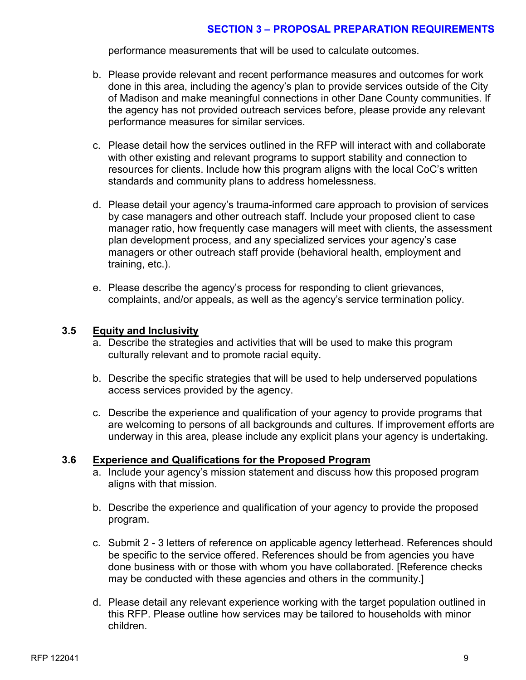#### **SECTION 3 – PROPOSAL PREPARATION REQUIREMENTS**

performance measurements that will be used to calculate outcomes.

- b. Please provide relevant and recent performance measures and outcomes for work done in this area, including the agency's plan to provide services outside of the City of Madison and make meaningful connections in other Dane County communities. If the agency has not provided outreach services before, please provide any relevant performance measures for similar services.
- c. Please detail how the services outlined in the RFP will interact with and collaborate with other existing and relevant programs to support stability and connection to resources for clients. Include how this program aligns with the local CoC's written standards and community plans to address homelessness.
- d. Please detail your agency's trauma-informed care approach to provision of services by case managers and other outreach staff. Include your proposed client to case manager ratio, how frequently case managers will meet with clients, the assessment plan development process, and any specialized services your agency's case managers or other outreach staff provide (behavioral health, employment and training, etc.).
- e. Please describe the agency's process for responding to client grievances, complaints, and/or appeals, as well as the agency's service termination policy.

#### **3.5 Equity and Inclusivity**

- a. Describe the strategies and activities that will be used to make this program culturally relevant and to promote racial equity.
- b. Describe the specific strategies that will be used to help underserved populations access services provided by the agency.
- c. Describe the experience and qualification of your agency to provide programs that are welcoming to persons of all backgrounds and cultures. If improvement efforts are underway in this area, please include any explicit plans your agency is undertaking.

#### **3.6 Experience and Qualifications for the Proposed Program**

- a. Include your agency's mission statement and discuss how this proposed program aligns with that mission.
- b. Describe the experience and qualification of your agency to provide the proposed program.
- c. Submit 2 3 letters of reference on applicable agency letterhead. References should be specific to the service offered. References should be from agencies you have done business with or those with whom you have collaborated. [Reference checks may be conducted with these agencies and others in the community.]
- d. Please detail any relevant experience working with the target population outlined in this RFP. Please outline how services may be tailored to households with minor children.